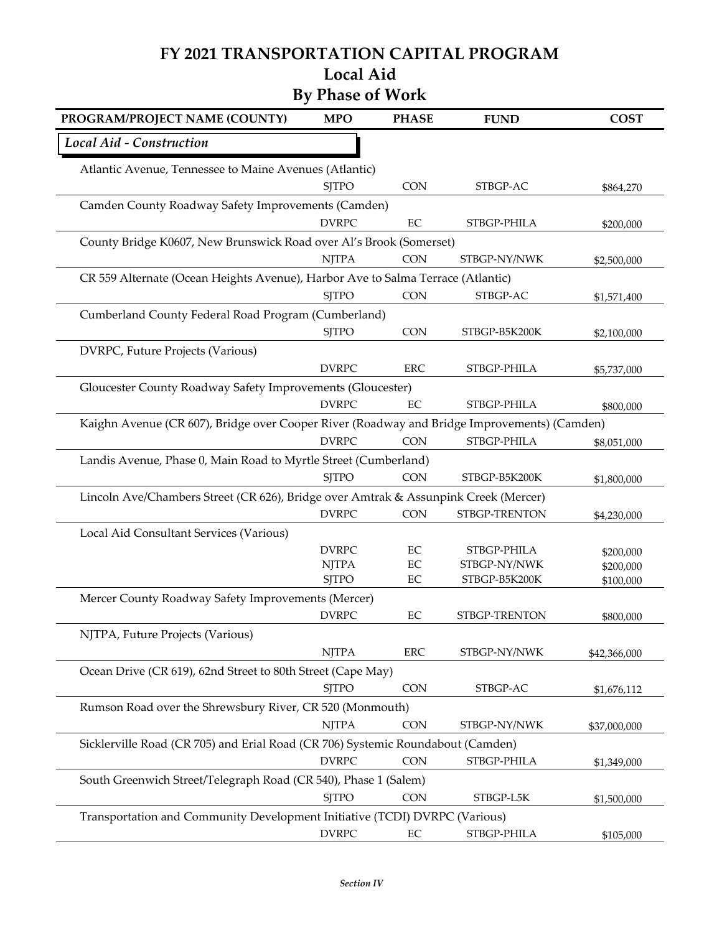## **FY 2021 TRANSPORTATION CAPITAL PROGRAM Local Aid**

## **By Phase of Work**

| PROGRAM/PROJECT NAME (COUNTY)                                                               | <b>MPO</b>   | <b>PHASE</b> | <b>FUND</b>   | <b>COST</b>  |  |  |  |  |
|---------------------------------------------------------------------------------------------|--------------|--------------|---------------|--------------|--|--|--|--|
| Local Aid - Construction                                                                    |              |              |               |              |  |  |  |  |
| Atlantic Avenue, Tennessee to Maine Avenues (Atlantic)                                      |              |              |               |              |  |  |  |  |
|                                                                                             | <b>SITPO</b> | <b>CON</b>   | STBGP-AC      | \$864,270    |  |  |  |  |
| Camden County Roadway Safety Improvements (Camden)                                          |              |              |               |              |  |  |  |  |
|                                                                                             | <b>DVRPC</b> | EC           | STBGP-PHILA   | \$200,000    |  |  |  |  |
| County Bridge K0607, New Brunswick Road over Al's Brook (Somerset)                          |              |              |               |              |  |  |  |  |
|                                                                                             | <b>NJTPA</b> | <b>CON</b>   | STBGP-NY/NWK  | \$2,500,000  |  |  |  |  |
| CR 559 Alternate (Ocean Heights Avenue), Harbor Ave to Salma Terrace (Atlantic)             |              |              |               |              |  |  |  |  |
|                                                                                             | <b>SJTPO</b> | <b>CON</b>   | STBGP-AC      | \$1,571,400  |  |  |  |  |
| Cumberland County Federal Road Program (Cumberland)                                         |              |              |               |              |  |  |  |  |
|                                                                                             | <b>SJTPO</b> | <b>CON</b>   | STBGP-B5K200K | \$2,100,000  |  |  |  |  |
| DVRPC, Future Projects (Various)                                                            |              |              |               |              |  |  |  |  |
|                                                                                             | <b>DVRPC</b> | <b>ERC</b>   | STBGP-PHILA   | \$5,737,000  |  |  |  |  |
| Gloucester County Roadway Safety Improvements (Gloucester)                                  |              |              |               |              |  |  |  |  |
|                                                                                             | <b>DVRPC</b> | EC           | STBGP-PHILA   | \$800,000    |  |  |  |  |
| Kaighn Avenue (CR 607), Bridge over Cooper River (Roadway and Bridge Improvements) (Camden) |              |              |               |              |  |  |  |  |
|                                                                                             | <b>DVRPC</b> | <b>CON</b>   | STBGP-PHILA   | \$8,051,000  |  |  |  |  |
| Landis Avenue, Phase 0, Main Road to Myrtle Street (Cumberland)                             |              |              |               |              |  |  |  |  |
|                                                                                             | <b>SITPO</b> | <b>CON</b>   | STBGP-B5K200K | \$1,800,000  |  |  |  |  |
| Lincoln Ave/Chambers Street (CR 626), Bridge over Amtrak & Assunpink Creek (Mercer)         |              |              |               |              |  |  |  |  |
|                                                                                             | <b>DVRPC</b> | CON          | STBGP-TRENTON | \$4,230,000  |  |  |  |  |
| Local Aid Consultant Services (Various)                                                     |              |              |               |              |  |  |  |  |
|                                                                                             | <b>DVRPC</b> | EC           | STBGP-PHILA   | \$200,000    |  |  |  |  |
|                                                                                             | <b>NJTPA</b> | EC           | STBGP-NY/NWK  | \$200,000    |  |  |  |  |
|                                                                                             | <b>SJTPO</b> | EC           | STBGP-B5K200K | \$100,000    |  |  |  |  |
| Mercer County Roadway Safety Improvements (Mercer)                                          |              |              |               |              |  |  |  |  |
|                                                                                             | <b>DVRPC</b> | EC           | STBGP-TRENTON | \$800,000    |  |  |  |  |
| NJTPA, Future Projects (Various)                                                            |              |              |               |              |  |  |  |  |
|                                                                                             | <b>NJTPA</b> | ERC          | STBGP-NY/NWK  | \$42,366,000 |  |  |  |  |
| Ocean Drive (CR 619), 62nd Street to 80th Street (Cape May)                                 |              |              |               |              |  |  |  |  |
|                                                                                             | <b>SJTPO</b> | <b>CON</b>   | STBGP-AC      | \$1,676,112  |  |  |  |  |
| Rumson Road over the Shrewsbury River, CR 520 (Monmouth)                                    |              |              |               |              |  |  |  |  |
|                                                                                             | <b>NJTPA</b> | <b>CON</b>   | STBGP-NY/NWK  | \$37,000,000 |  |  |  |  |
| Sicklerville Road (CR 705) and Erial Road (CR 706) Systemic Roundabout (Camden)             |              |              |               |              |  |  |  |  |
|                                                                                             | <b>DVRPC</b> | CON          | STBGP-PHILA   | \$1,349,000  |  |  |  |  |
| South Greenwich Street/Telegraph Road (CR 540), Phase 1 (Salem)                             |              |              |               |              |  |  |  |  |
|                                                                                             | <b>SJTPO</b> | CON          | STBGP-L5K     | \$1,500,000  |  |  |  |  |
| Transportation and Community Development Initiative (TCDI) DVRPC (Various)                  |              |              |               |              |  |  |  |  |
|                                                                                             | <b>DVRPC</b> | EC           | STBGP-PHILA   | \$105,000    |  |  |  |  |